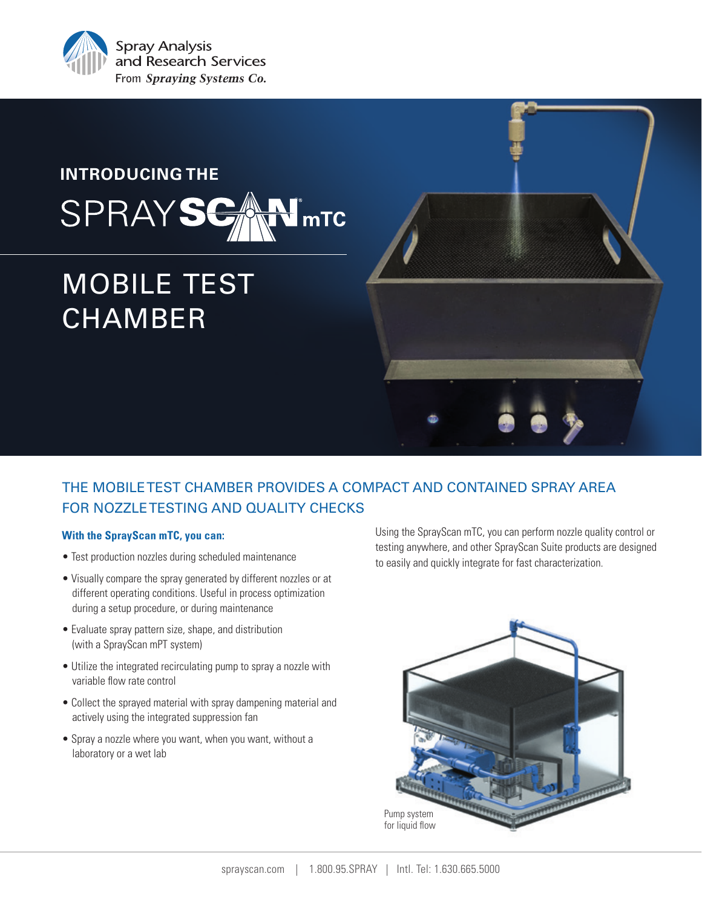

## **INTRODUCING THE** ® SPRAYS mTC

# MOBILE TEST **CHAMBER**

## THE MOBILE TEST CHAMBER PROVIDES A COMPACT AND CONTAINED SPRAY AREA FOR NOZZLE TESTING AND QUALITY CHECKS

## **With the SprayScan mTC, you can:**

- Test production nozzles during scheduled maintenance
- Visually compare the spray generated by different nozzles or at different operating conditions. Useful in process optimization during a setup procedure, or during maintenance
- Evaluate spray pattern size, shape, and distribution (with a SprayScan mPT system)
- Utilize the integrated recirculating pump to spray a nozzle with variable flow rate control
- Collect the sprayed material with spray dampening material and actively using the integrated suppression fan
- Spray a nozzle where you want, when you want, without a laboratory or a wet lab

Using the SprayScan mTC, you can perform nozzle quality control or testing anywhere, and other SprayScan Suite products are designed to easily and quickly integrate for fast characterization.